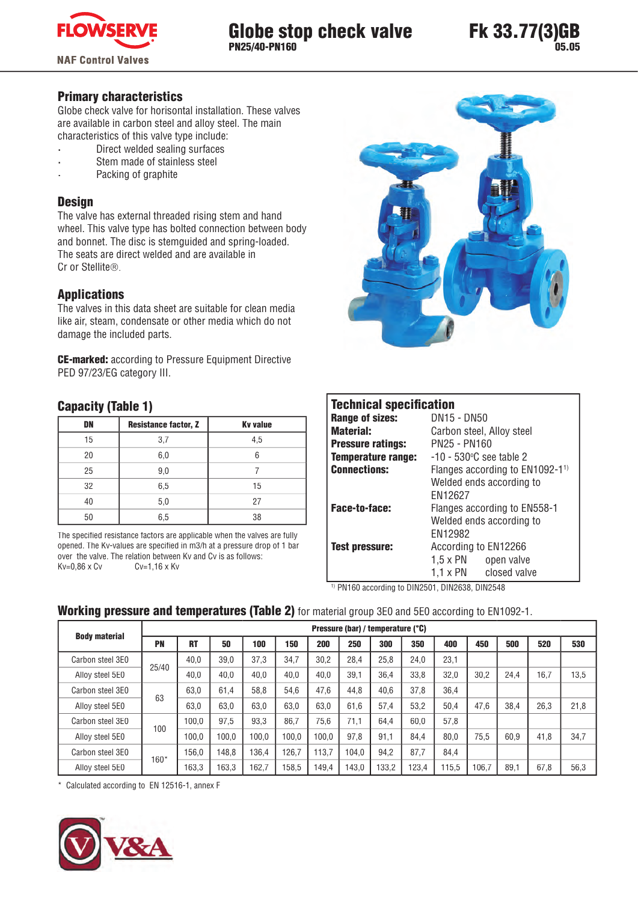

## Globe stop check valve PN25/40-PN160

### Primary characteristics

Globe check valve for horisontal installation. These valves are available in carbon steel and alloy steel. The main characteristics of this valve type include:

- **·** Direct welded sealing surfaces
- **·** Stem made of stainless steel
- **·** Packing of graphite

#### **Design**

The valve has external threaded rising stem and hand wheel. This valve type has bolted connection between body and bonnet. The disc is stemguided and spring-loaded. The seats are direct welded and are available in Cr or Stellite®.

#### Applications

The valves in this data sheet are suitable for clean media like air, steam, condensate or other media which do not damage the included parts.

CE-marked: according to Pressure Equipment Directive PED 97/23/EG category III.

### Capacity (Table 1)

| DN | <b>Resistance factor, Z</b> | <b>Kv</b> value |
|----|-----------------------------|-----------------|
| 15 | 3,7                         | 4,5             |
| 20 | 6,0                         |                 |
| 25 | 9,0                         |                 |
| 32 | 6,5                         | 15              |
| 40 | 5,0                         | 27              |
| 50 | 6,5                         | 38              |

The specified resistance factors are applicable when the valves are fully opened. The Kv-values are specified in m3/h at a pressure drop of 1 bar over the valve. The relation between Kv and Cv is as follows:  $Kv=0.86 \times Cv$   $CV=1.16 \times Kv$ 



## **Technical specification**

| <b>IVAIIIIVAI JPUUIIIVALIVII</b> |                                               |  |  |  |  |
|----------------------------------|-----------------------------------------------|--|--|--|--|
| <b>Range of sizes:</b>           | DN15 - DN50                                   |  |  |  |  |
| <b>Material:</b>                 | Carbon steel, Alloy steel                     |  |  |  |  |
| <b>Pressure ratings:</b>         | PN25 - PN160                                  |  |  |  |  |
| <b>Temperature range:</b>        | $-10 - 530$ °C see table 2                    |  |  |  |  |
| <b>Connections:</b>              | Flanges according to $EN1092-1$ <sup>1)</sup> |  |  |  |  |
|                                  | Welded ends according to                      |  |  |  |  |
|                                  | FN12627                                       |  |  |  |  |
| <b>Face-to-face:</b>             | Flanges according to EN558-1                  |  |  |  |  |
|                                  | Welded ends according to                      |  |  |  |  |
|                                  | EN12982                                       |  |  |  |  |
| <b>Test pressure:</b>            | According to EN12266                          |  |  |  |  |
|                                  | $1.5 \times PN$<br>open valve                 |  |  |  |  |
|                                  | $1.1 \times PN$<br>closed valve               |  |  |  |  |

<sup>1)</sup> PN160 according to DIN2501, DIN2638, DIN2548

## Working pressure and temperatures (Table 2) for material group 3E0 and 5E0 according to EN1092-1.

|                                   |       |       |       |       |       |       | Pressure (bar) / temperature (°C) |       |       |      |       |      |      |      |
|-----------------------------------|-------|-------|-------|-------|-------|-------|-----------------------------------|-------|-------|------|-------|------|------|------|
| <b>Body material</b><br><b>PN</b> |       | RT    | 50    | 100   | 150   | 200   | 250                               | 300   | 350   | 400  | 450   | 500  | 520  | 530  |
| Carbon steel 3E0                  |       | 40.0  | 39.0  | 37.3  | 34.7  | 30.2  | 28.4                              | 25.8  | 24.0  | 23.1 |       |      |      |      |
| Alloy steel 5E0                   | 25/40 | 40,0  | 40,0  | 40.0  | 40.0  | 40.0  | 39.1                              | 36.4  | 33.8  | 32.0 | 30.2  | 24.4 | 16.7 | 13,5 |
| Carbon steel 3E0                  | 63    | 63,0  | 61.4  | 58.8  | 54.6  | 47.6  | 44.8                              | 40.6  | 37,8  | 36.4 |       |      |      |      |
| Alloy steel 5E0                   |       | 63.0  | 63.0  | 63.0  | 63.0  | 63.0  | 61.6                              | 57.4  | 53.2  | 50.4 | 47.6  | 38.4 | 26,3 | 21.8 |
| Carbon steel 3E0                  | 100   | 100.0 | 97,5  | 93.3  | 86.7  | 75.6  | 71.1                              | 64.4  | 60.0  | 57.8 |       |      |      |      |
| Alloy steel 5E0                   |       | 100.0 | 100.0 | 100.0 | 100.0 | 100.0 | 97.8                              | 91.1  | 84.4  | 80.0 | 75.5  | 60.9 | 41,8 | 34,7 |
| Carbon steel 3E0                  | 160*  | 156.0 | 148.8 | 136.4 | 126.7 | 113.7 | 104.0                             | 94.2  | 87,7  | 84,4 |       |      |      |      |
| Alloy steel 5E0                   |       | 163.3 | 163.3 | 162.7 | 58.5  | 149.4 | 143.0                             | 133,2 | 123.4 | 15.5 | 106,7 | 89.1 | 67,8 | 56,3 |

\* Calculated according to EN 12516-1, annex F

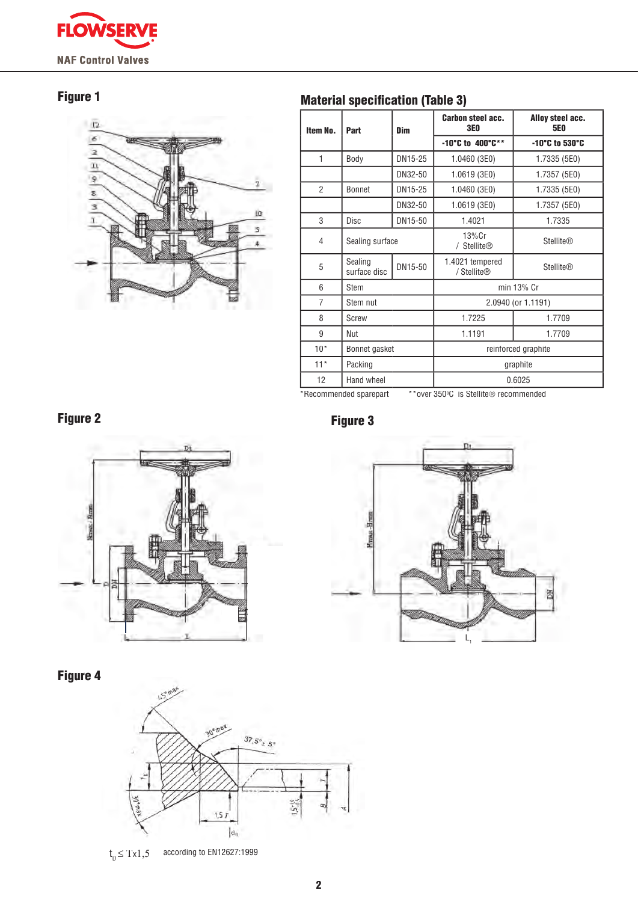

# Figure 1



# **Material specification (Table 3)**

| Item No.       | Part                    | Dim     | <b>Carbon steel acc.</b><br><b>3E0</b> | Alloy steel acc.<br><b>5E0</b> |  |  |
|----------------|-------------------------|---------|----------------------------------------|--------------------------------|--|--|
|                |                         |         | -10°C to 400°C**                       | -10°C to 530°C                 |  |  |
| 1              | DN15-25<br>Body         |         | 1.0460 (3E0)                           | 1.7335 (5E0)                   |  |  |
|                |                         | DN32-50 | 1.0619 (3E0)                           | 1.7357 (5E0)                   |  |  |
| $\overline{2}$ | <b>Bonnet</b>           | DN15-25 | 1.0460 (3E0)                           | 1.7335 (5E0)                   |  |  |
|                |                         | DN32-50 | 1.0619(3E0)                            | 1.7357 (5E0)                   |  |  |
| 3              | DN15-50<br>Disc         |         | 1.4021                                 | 1.7335                         |  |  |
| 4              | Sealing surface         |         | $13\%$ Cr<br>/ Stellite®               | <b>Stellite®</b>               |  |  |
| 5              | Sealing<br>surface disc | DN15-50 | 1.4021 tempered<br>/ Stellite®         | <b>Stellite®</b>               |  |  |
| 6              | Stem                    |         | min 13% Cr                             |                                |  |  |
| $\overline{7}$ | Stem nut                |         |                                        | 2.0940 (or 1.1191)             |  |  |
| 8              | Screw                   |         | 1.7225                                 | 1.7709                         |  |  |
| 9              | Nut                     |         | 1.1191                                 | 1.7709                         |  |  |
| $10*$          | Bonnet gasket           |         |                                        | reinforced graphite            |  |  |
| $11*$          | Packing                 |         | graphite                               |                                |  |  |
| 12             | Hand wheel              |         | 0.6025                                 |                                |  |  |
|                | *Recommended sparepart  |         | **over 350°C is Stellite® recommended  |                                |  |  |



Figure 4



 $t_{p} \leq Tx1,5$ according to EN12627:1999



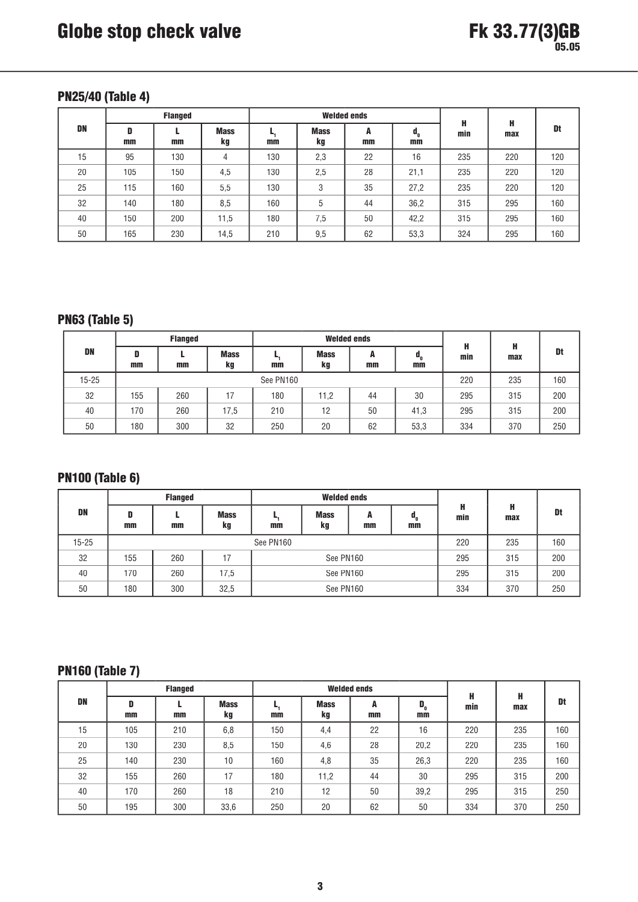## PN25/40 (Table 4)

|           | <b>Flanged</b> |     |                   |          | <b>Welded ends</b> | H       | H        |     |     |     |
|-----------|----------------|-----|-------------------|----------|--------------------|---------|----------|-----|-----|-----|
| <b>DN</b> | D<br>mm        | mm  | <b>Mass</b><br>kg | ь,<br>mm | <b>Mass</b><br>kg  | A<br>mm | d,<br>mm | min | max | Dt  |
| 15        | 95             | 130 | 4                 | 130      | 2,3                | 22      | 16       | 235 | 220 | 120 |
| 20        | 105            | 150 | 4,5               | 130      | 2,5                | 28      | 21,1     | 235 | 220 | 120 |
| 25        | 115            | 160 | 5,5               | 130      | 3                  | 35      | 27,2     | 235 | 220 | 120 |
| 32        | 140            | 180 | 8,5               | 160      | 5                  | 44      | 36,2     | 315 | 295 | 160 |
| 40        | 150            | 200 | 11,5              | 180      | 7,5                | 50      | 42,2     | 315 | 295 | 160 |
| 50        | 165            | 230 | 14,5              | 210      | 9,5                | 62      | 53,3     | 324 | 295 | 160 |

# PN63 (Table 5)

|           | <b>Flanged</b> |           |                   | <b>Welded ends</b> |                   |           |          | н        |     |     |
|-----------|----------------|-----------|-------------------|--------------------|-------------------|-----------|----------|----------|-----|-----|
| DN        | D<br>mm        | mm        | <b>Mass</b><br>kg | mm                 | <b>Mass</b><br>kg | A<br>$mm$ | a,<br>mm | н<br>min | max | Dt  |
| $15 - 25$ |                | See PN160 |                   |                    |                   |           |          | 220      | 235 | 160 |
| 32        | 155            | 260       | 17                | 180                | 11,2              | 44        | 30       | 295      | 315 | 200 |
| 40        | 170            | 260       | 17,5              | 210                | 12                | 50        | 41,3     | 295      | 315 | 200 |
| 50        | 180            | 300       | 32                | 250                | 20                | 62        | 53,3     | 334      | 370 | 250 |

# PN100 (Table 6)

|           | <b>Flanged</b> |           |                   | <b>Welded ends</b> |                   |           |                                     |          |          |     |
|-----------|----------------|-----------|-------------------|--------------------|-------------------|-----------|-------------------------------------|----------|----------|-----|
| <b>DN</b> | D<br>mm        | mm        | <b>Mass</b><br>kg | mm                 | <b>Mass</b><br>kg | A<br>$mm$ | $\mathfrak{a}_{\mathfrak{n}}$<br>mm | н<br>min | н<br>max | Dt  |
| $15 - 25$ |                | See PN160 |                   |                    |                   | 220       | 235                                 | 160      |          |     |
| 32        | 155            | 260       | 17                |                    | See PN160         |           |                                     | 295      | 315      | 200 |
| 40        | 170            | 260       | 17,5              | See PN160          |                   |           | 295                                 | 315      | 200      |     |
| 50        | 180            | 300       | 32,5              |                    | See PN160         |           | 334                                 | 370      | 250      |     |

# PN160 (Table 7)

|    | <b>Flanged</b> |     |                   |     |                   | <b>Welded ends</b> | н                                  | н   |     |     |
|----|----------------|-----|-------------------|-----|-------------------|--------------------|------------------------------------|-----|-----|-----|
| DN | D<br>mm        | mm  | <b>Mass</b><br>kg | mm  | <b>Mass</b><br>kg | A<br>mm            | $\mathbf{D}_{_{\mathrm{o}}}$<br>mm | min | max | Dt  |
| 15 | 105            | 210 | 6,8               | 150 | 4,4               | 22                 | 16                                 | 220 | 235 | 160 |
| 20 | 130            | 230 | 8,5               | 150 | 4,6               | 28                 | 20,2                               | 220 | 235 | 160 |
| 25 | 140            | 230 | 10                | 160 | 4,8               | 35                 | 26,3                               | 220 | 235 | 160 |
| 32 | 155            | 260 | 17                | 180 | 11,2              | 44                 | 30                                 | 295 | 315 | 200 |
| 40 | 170            | 260 | 18                | 210 | 12                | 50                 | 39,2                               | 295 | 315 | 250 |
| 50 | 195            | 300 | 33,6              | 250 | 20                | 62                 | 50                                 | 334 | 370 | 250 |